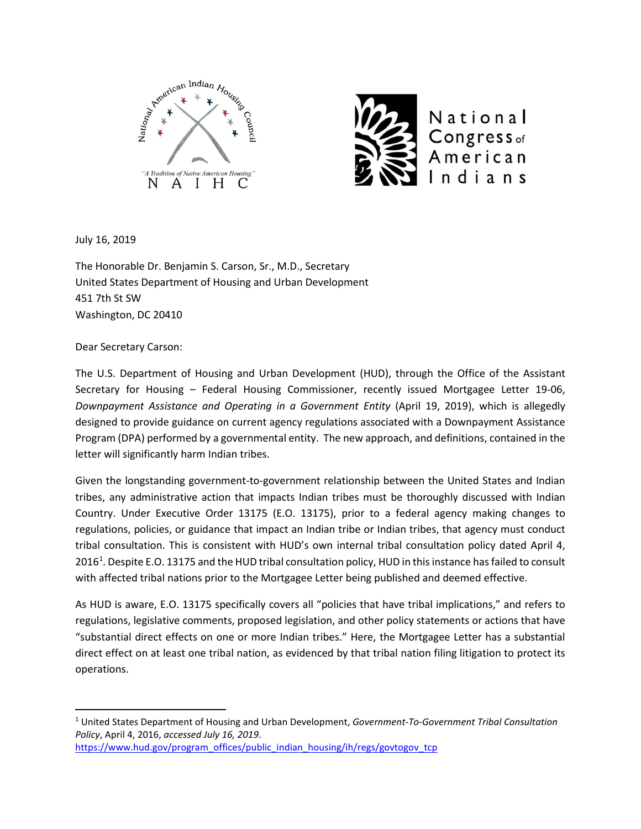



July 16, 2019

The Honorable Dr. Benjamin S. Carson, Sr., M.D., Secretary United States Department of Housing and Urban Development 451 7th St SW Washington, DC 20410

Dear Secretary Carson:

The U.S. Department of Housing and Urban Development (HUD), through the Office of the Assistant Secretary for Housing – Federal Housing Commissioner, recently issued Mortgagee Letter 19-06, *Downpayment Assistance and Operating in a Government Entity* (April 19, 2019), which is allegedly designed to provide guidance on current agency regulations associated with a Downpayment Assistance Program (DPA) performed by a governmental entity. The new approach, and definitions, contained in the letter will significantly harm Indian tribes.

Given the longstanding government-to-government relationship between the United States and Indian tribes, any administrative action that impacts Indian tribes must be thoroughly discussed with Indian Country. Under Executive Order 13175 (E.O. 13175), prior to a federal agency making changes to regulations, policies, or guidance that impact an Indian tribe or Indian tribes, that agency must conduct tribal consultation. This is consistent with HUD's own internal tribal consultation policy dated April 4, 20[1](#page-0-0)6<sup>1</sup>. Despite E.O. 13175 and the HUD tribal consultation policy, HUD in this instance has failed to consult with affected tribal nations prior to the Mortgagee Letter being published and deemed effective.

As HUD is aware, E.O. 13175 specifically covers all "policies that have tribal implications," and refers to regulations, legislative comments, proposed legislation, and other policy statements or actions that have "substantial direct effects on one or more Indian tribes." Here, the Mortgagee Letter has a substantial direct effect on at least one tribal nation, as evidenced by that tribal nation filing litigation to protect its operations.

[https://www.hud.gov/program\\_offices/public\\_indian\\_housing/ih/regs/govtogov\\_tcp](https://www.hud.gov/program_offices/public_indian_housing/ih/regs/govtogov_tcp)

<span id="page-0-0"></span> <sup>1</sup> United States Department of Housing and Urban Development, *Government-To-Government Tribal Consultation Policy*, April 4, 2016, *accessed July 16, 2019*.